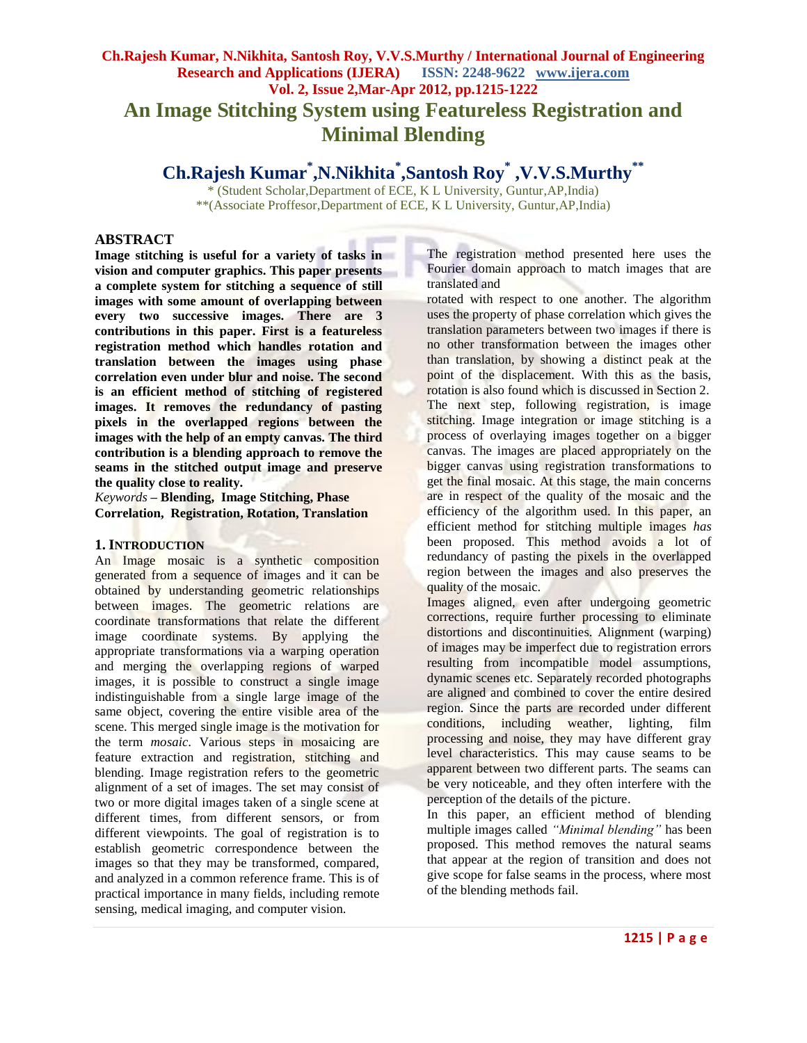# **Ch.Rajesh Kumar, N.Nikhita, Santosh Roy, V.V.S.Murthy / International Journal of Engineering Research and Applications (IJERA) ISSN: 2248-9622 www.ijera.com Vol. 2, Issue 2,Mar-Apr 2012, pp.1215-1222 An Image Stitching System using Featureless Registration and Minimal Blending**

**Ch.Rajesh Kumar\* ,N.Nikhita\* ,Santosh Roy\* ,V.V.S.Murthy\*\***

\* (Student Scholar,Department of ECE, K L University, Guntur,AP,India) \*\*(Associate Proffesor,Department of ECE, K L University, Guntur,AP,India)

### **ABSTRACT**

**Image stitching is useful for a variety of tasks in vision and computer graphics. This paper presents a complete system for stitching a sequence of still images with some amount of overlapping between every two successive images. There are 3 contributions in this paper. First is a featureless registration method which handles rotation and translation between the images using phase correlation even under blur and noise. The second is an efficient method of stitching of registered images. It removes the redundancy of pasting pixels in the overlapped regions between the images with the help of an empty canvas. The third contribution is a blending approach to remove the seams in the stitched output image and preserve the quality close to reality.**

*Keywords* **– Blending, Image Stitching, Phase Correlation, Registration, Rotation, Translation**

#### **1. INTRODUCTION**

An Image mosaic is a synthetic composition generated from a sequence of images and it can be obtained by understanding geometric relationships between images. The geometric relations are coordinate transformations that relate the different image coordinate systems. By applying the appropriate transformations via a warping operation and merging the overlapping regions of warped images, it is possible to construct a single image indistinguishable from a single large image of the same object, covering the entire visible area of the scene. This merged single image is the motivation for the term *mosaic*. Various steps in mosaicing are feature extraction and registration, stitching and blending. Image registration refers to the geometric alignment of a set of images. The set may consist of two or more digital images taken of a single scene at different times, from different sensors, or from different viewpoints. The goal of registration is to establish geometric correspondence between the images so that they may be transformed, compared, and analyzed in a common reference frame. This is of practical importance in many fields, including remote sensing, medical imaging, and computer vision.

The registration method presented here uses the Fourier domain approach to match images that are translated and

rotated with respect to one another. The algorithm uses the property of phase correlation which gives the translation parameters between two images if there is no other transformation between the images other than translation, by showing a distinct peak at the point of the displacement. With this as the basis, rotation is also found which is discussed in Section 2. The next step, following registration, is image stitching. Image integration or image stitching is a process of overlaying images together on a bigger canvas. The images are placed appropriately on the bigger canvas using registration transformations to get the final mosaic. At this stage, the main concerns are in respect of the quality of the mosaic and the efficiency of the algorithm used. In this paper, an efficient method for stitching multiple images *has* been proposed. This method avoids a lot of redundancy of pasting the pixels in the overlapped region between the images and also preserves the quality of the mosaic.

Images aligned, even after undergoing geometric corrections, require further processing to eliminate distortions and discontinuities. Alignment (warping) of images may be imperfect due to registration errors resulting from incompatible model assumptions, dynamic scenes etc. Separately recorded photographs are aligned and combined to cover the entire desired region. Since the parts are recorded under different conditions, including weather, lighting, film processing and noise, they may have different gray level characteristics. This may cause seams to be apparent between two different parts. The seams can be very noticeable, and they often interfere with the perception of the details of the picture.

In this paper, an efficient method of blending multiple images called *"Minimal blending"* has been proposed. This method removes the natural seams that appear at the region of transition and does not give scope for false seams in the process, where most of the blending methods fail.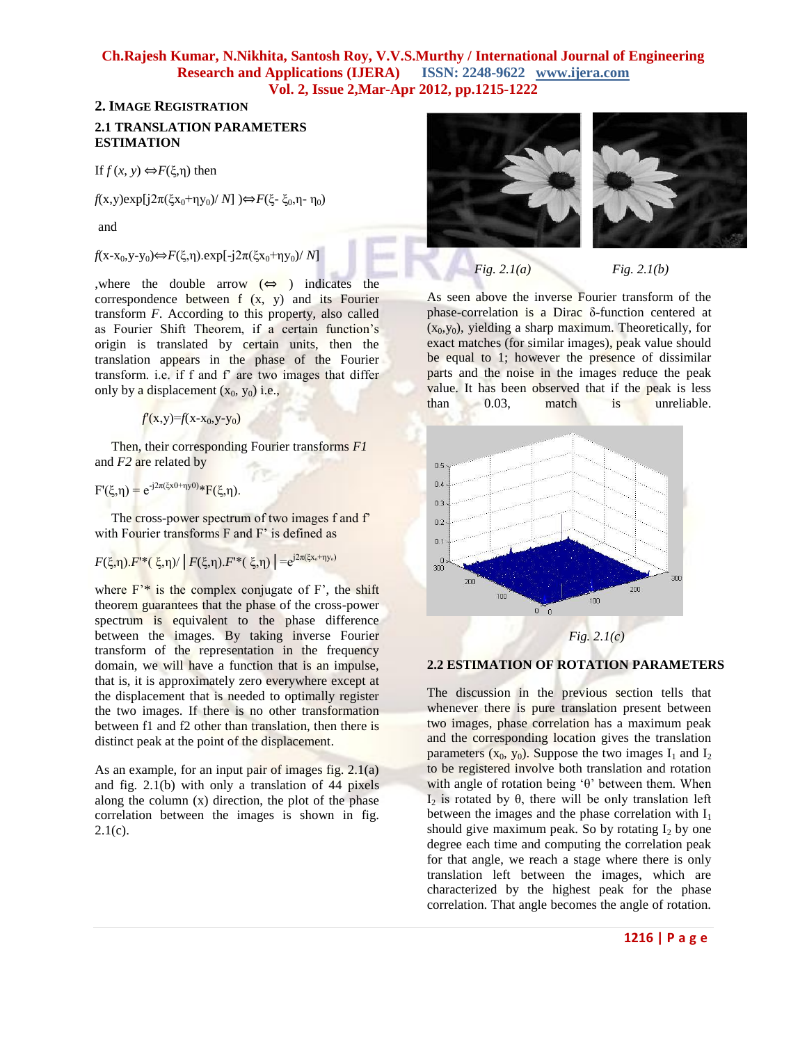### **2. IMAGE REGISTRATION 2.1 TRANSLATION PARAMETERS ESTIMATION**

If *f* (*x*, *y*) ⇔*F*(ξ,η) then

*f*(x,y)exp[j2π(ξx<sub>0</sub>+ηy<sub>0</sub>)/ *N*]  $\Rightarrow$  *F*(ξ- ξ<sub>0</sub>,η- η<sub>0</sub>)

and

*f*(x-x<sub>0</sub>,y-y<sub>0</sub>)⇔*F*(ξ,η).exp[-j2π(ξx<sub>0</sub>+ηy<sub>0</sub>)/ *N*]

,where the double arrow  $(\Leftrightarrow)$  indicates the correspondence between f (x, y) and its Fourier transform *F*. According to this property, also called as Fourier Shift Theorem, if a certain function's origin is translated by certain units, then the translation appears in the phase of the Fourier transform. i.e. if f and f' are two images that differ only by a displacement  $(x_0, y_0)$  i.e.,

 $f'(x,y)=f(x-x_0,y-y_0)$ 

 Then, their corresponding Fourier transforms *F1*  and *F2* are related by

 $F'(\xi, \eta) = e^{-j2\pi(\xi x 0 + \eta y 0)} * F(\xi, \eta).$ 

The cross-power spectrum of two images f and f' with Fourier transforms F and F' is defined as

 $F(\xi,\eta) \cdot F^*(\xi,\eta) / |F(\xi,\eta) \cdot F^*(\xi,\eta)| = e^{j2\pi(\xi x_o + \eta y_o)}$ 

where  $F^*$  is the complex conjugate of  $F^*$ , the shift theorem guarantees that the phase of the cross-power spectrum is equivalent to the phase difference between the images. By taking inverse Fourier transform of the representation in the frequency domain, we will have a function that is an impulse, that is, it is approximately zero everywhere except at the displacement that is needed to optimally register the two images. If there is no other transformation between f1 and f2 other than translation, then there is distinct peak at the point of the displacement.

As an example, for an input pair of images fig. 2.1(a) and fig. 2.1(b) with only a translation of 44 pixels along the column (x) direction, the plot of the phase correlation between the images is shown in fig.  $2.1(c)$ .



*Fig. 2.1(a) Fig. 2.1(b)*

As seen above the inverse Fourier transform of the phase-correlation is a Dirac δ-function centered at  $(x_0, y_0)$ , yielding a sharp maximum. Theoretically, for exact matches (for similar images), peak value should be equal to 1; however the presence of dissimilar parts and the noise in the images reduce the peak value. It has been observed that if the peak is less than 0.03, match is unreliable.



#### **2.2 ESTIMATION OF ROTATION PARAMETERS**

The discussion in the previous section tells that whenever there is pure translation present between two images, phase correlation has a maximum peak and the corresponding location gives the translation parameters  $(x_0, y_0)$ . Suppose the two images  $I_1$  and  $I_2$ to be registered involve both translation and rotation with angle of rotation being 'θ' between them. When I<sub>2</sub> is rotated by θ, there will be only translation left between the images and the phase correlation with  $I_1$ should give maximum peak. So by rotating  $I_2$  by one degree each time and computing the correlation peak for that angle, we reach a stage where there is only translation left between the images, which are characterized by the highest peak for the phase correlation. That angle becomes the angle of rotation.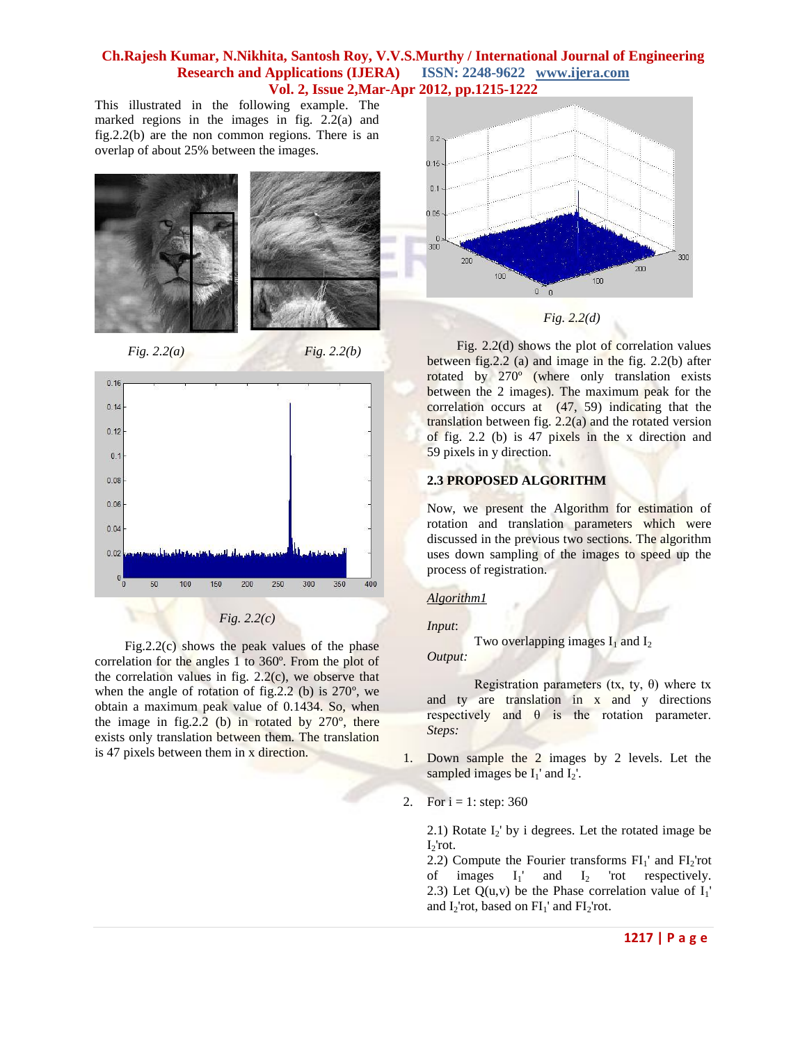This illustrated in the following example. The marked regions in the images in fig. 2.2(a) and fig.2.2(b) are the non common regions. There is an overlap of about 25% between the images.







 Fig.2.2(c) shows the peak values of the phase correlation for the angles 1 to 360º. From the plot of the correlation values in fig. 2.2(c), we observe that when the angle of rotation of fig.2.2 (b) is 270º, we obtain a maximum peak value of 0.1434. So, when the image in fig.  $2.2$  (b) in rotated by  $270^\circ$ , there exists only translation between them. The translation is 47 pixels between them in x direction.



 Fig. 2.2(d) shows the plot of correlation values between fig.2.2 (a) and image in the fig. 2.2(b) after rotated by 270º (where only translation exists between the 2 images). The maximum peak for the correlation occurs at (47, 59) indicating that the translation between fig.  $2.2(a)$  and the rotated version of fig. 2.2 (b) is 47 pixels in the x direction and 59 pixels in y direction.

#### **2.3 PROPOSED ALGORITHM**

Now, we present the Algorithm for estimation of rotation and translation parameters which were discussed in the previous two sections. The algorithm uses down sampling of the images to speed up the process of registration.

#### *Algorithm1*

#### *Input*:

Two overlapping images  $I_1$  and  $I_2$ *Output:*

Registration parameters (tx, ty,  $\theta$ ) where tx and ty are translation in x and y directions respectively and θ is the rotation parameter. *Steps:*

- 1. Down sample the 2 images by 2 levels. Let the sampled images be  $I_1'$  and  $I_2'$ .
- 2. For  $i = 1$ : step: 360

2.1) Rotate  $I_2$ ' by i degrees. Let the rotated image be  $I<sub>2</sub>'rot.$ 

2.2) Compute the Fourier transforms  $FI_1'$  and  $FI_2'$ rot of images  $I_1'$  and  $I_2$  'rot respectively. 2.3) Let  $Q(u, v)$  be the Phase correlation value of  $I_1'$ and  $I_2$ 'rot, based on  $FI_1$ ' and  $FI_2$ 'rot.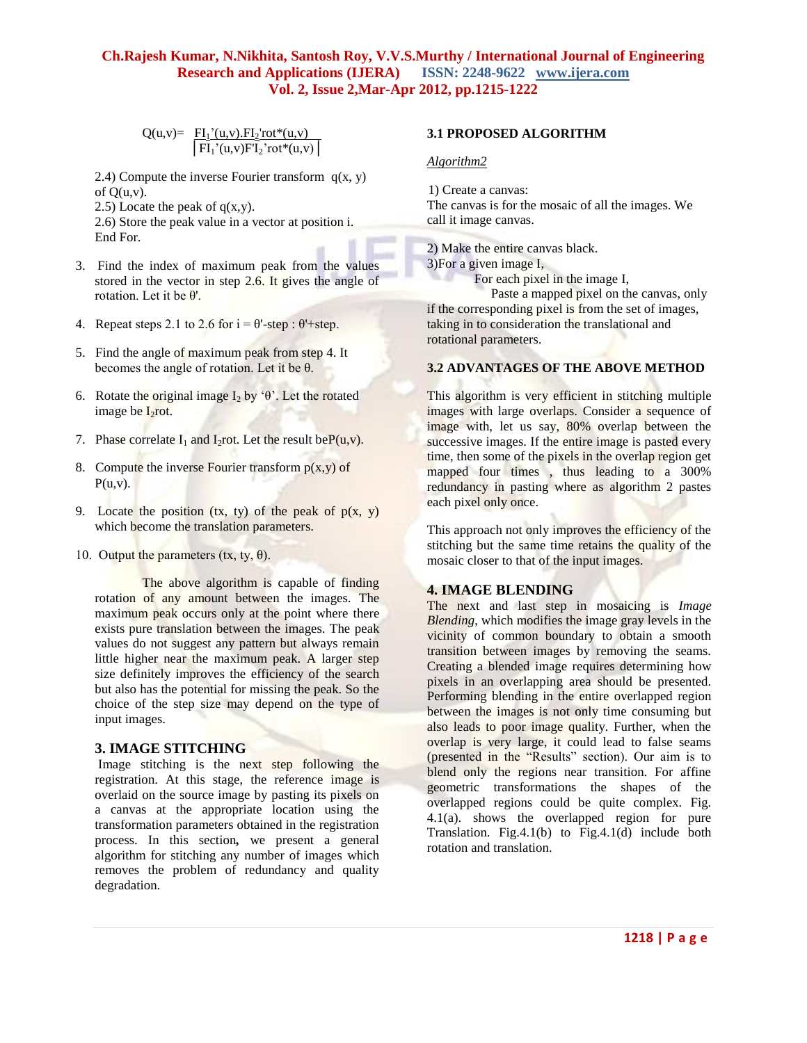$$
Q(u,v)=\frac{FI_1'(u,v).FI_2'rot^*(u,v)}{\left|FI_1'(u,v)FI_2'rot^*(u,v)\right|}
$$

2.4) Compute the inverse Fourier transform  $q(x, y)$ of  $O(u,v)$ .

2.5) Locate the peak of  $q(x,y)$ .

2.6) Store the peak value in a vector at position i. End For.

- 3. Find the index of maximum peak from the values stored in the vector in step 2.6. It gives the angle of rotation. Let it be θ'.
- 4. Repeat steps 2.1 to 2.6 for  $i = \theta$ -step:  $\theta$ <sup>+</sup>-step.
- 5. Find the angle of maximum peak from step 4. It becomes the angle of rotation. Let it be θ.
- 6. Rotate the original image I<sub>2</sub> by ' $\theta$ '. Let the rotated image be  $I_2$ rot.
- 7. Phase correlate  $I_1$  and  $I_2$ rot. Let the result be $P(u,v)$ .
- 8. Compute the inverse Fourier transform  $p(x,y)$  of  $P(u,v)$ .
- 9. Locate the position  $(tx, ty)$  of the peak of  $p(x, y)$ which become the translation parameters.
- 10. Output the parameters  $(tx, ty, \theta)$ .

The above algorithm is capable of finding rotation of any amount between the images. The maximum peak occurs only at the point where there exists pure translation between the images. The peak values do not suggest any pattern but always remain little higher near the maximum peak. A larger step size definitely improves the efficiency of the search but also has the potential for missing the peak. So the choice of the step size may depend on the type of input images.

# **3. IMAGE STITCHING**

Image stitching is the next step following the registration. At this stage, the reference image is overlaid on the source image by pasting its pixels on a canvas at the appropriate location using the transformation parameters obtained in the registration process. In this section*,* we present a general algorithm for stitching any number of images which removes the problem of redundancy and quality degradation.

#### **3.1 PROPOSED ALGORITHM**

#### *Algorithm2*

 1) Create a canvas: The canvas is for the mosaic of all the images. We call it image canvas.

2) Make the entire canvas black. 3)For a given image I,

For each pixel in the image I,

 Paste a mapped pixel on the canvas, only if the corresponding pixel is from the set of images, taking in to consideration the translational and rotational parameters.

### **3.2 ADVANTAGES OF THE ABOVE METHOD**

This algorithm is very efficient in stitching multiple images with large overlaps. Consider a sequence of image with, let us say, 80% overlap between the successive images. If the entire image is pasted every time, then some of the pixels in the overlap region get mapped four times , thus leading to a 300% redundancy in pasting where as algorithm 2 pastes each pixel only once.

This approach not only improves the efficiency of the stitching but the same time retains the quality of the mosaic closer to that of the input images.

#### **4. IMAGE BLENDING**

The next and last step in mosaicing is *Image Blending*, which modifies the image gray levels in the vicinity of common boundary to obtain a smooth transition between images by removing the seams. Creating a blended image requires determining how pixels in an overlapping area should be presented. Performing blending in the entire overlapped region between the images is not only time consuming but also leads to poor image quality. Further, when the overlap is very large, it could lead to false seams (presented in the "Results" section). Our aim is to blend only the regions near transition. For affine geometric transformations the shapes of the overlapped regions could be quite complex. Fig. 4.1(a). shows the overlapped region for pure Translation. Fig.4.1(b) to Fig.4.1(d) include both rotation and translation.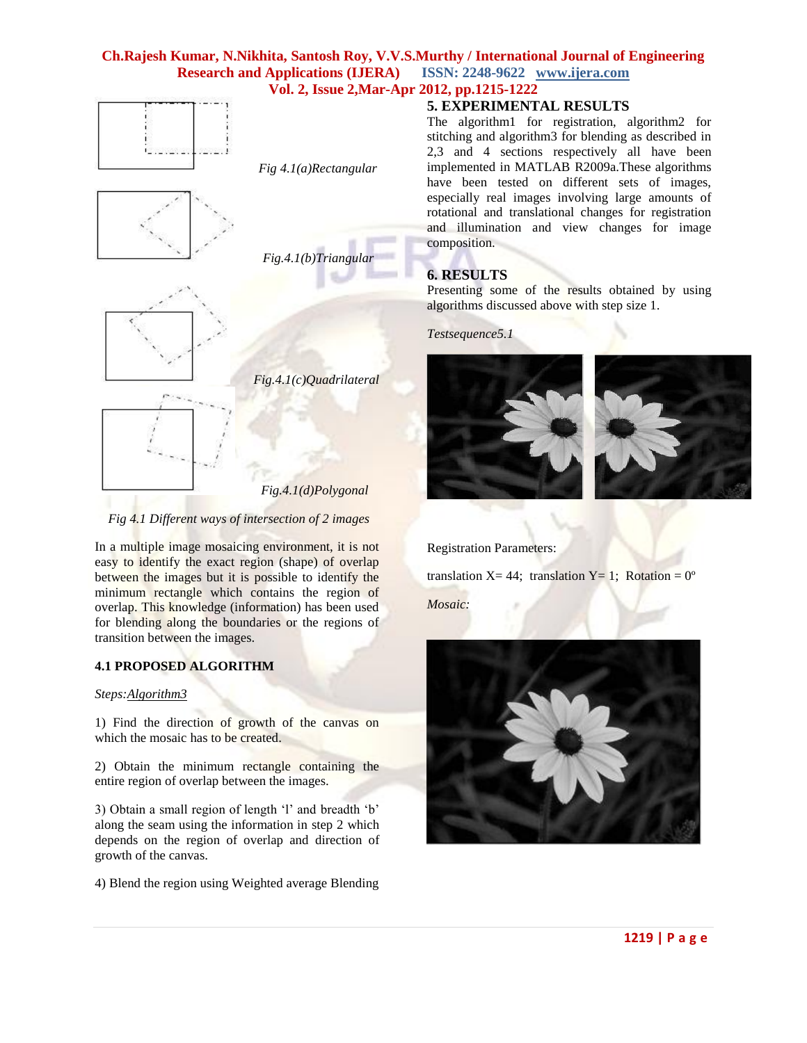

 *Fig.4.1(c)Quadrilateral* 

 *Fig.4.1(d)Polygonal*

#### *Fig 4.1 Different ways of intersection of 2 images*

In a multiple image mosaicing environment, it is not easy to identify the exact region (shape) of overlap between the images but it is possible to identify the minimum rectangle which contains the region of overlap. This knowledge (information) has been used for blending along the boundaries or the regions of transition between the images.

### **4.1 PROPOSED ALGORITHM**

#### *Steps:Algorithm3*

1) Find the direction of growth of the canvas on which the mosaic has to be created.

2) Obtain the minimum rectangle containing the entire region of overlap between the images.

3) Obtain a small region of length "l" and breadth "b" along the seam using the information in step 2 which depends on the region of overlap and direction of growth of the canvas.

4) Blend the region using Weighted average Blending

### **5. EXPERIMENTAL RESULTS**

The algorithm1 for registration, algorithm2 for stitching and algorithm3 for blending as described in 2,3 and 4 sections respectively all have been implemented in MATLAB R2009a.These algorithms have been tested on different sets of images, especially real images involving large amounts of rotational and translational changes for registration and illumination and view changes for image composition.

# **6. RESULTS**

Presenting some of the results obtained by using algorithms discussed above with step size 1.

*Testsequence5.1*



Registration Parameters:

translation  $X = 44$ ; translation  $Y = 1$ ; Rotation =  $0^{\circ}$ *Mosaic:*

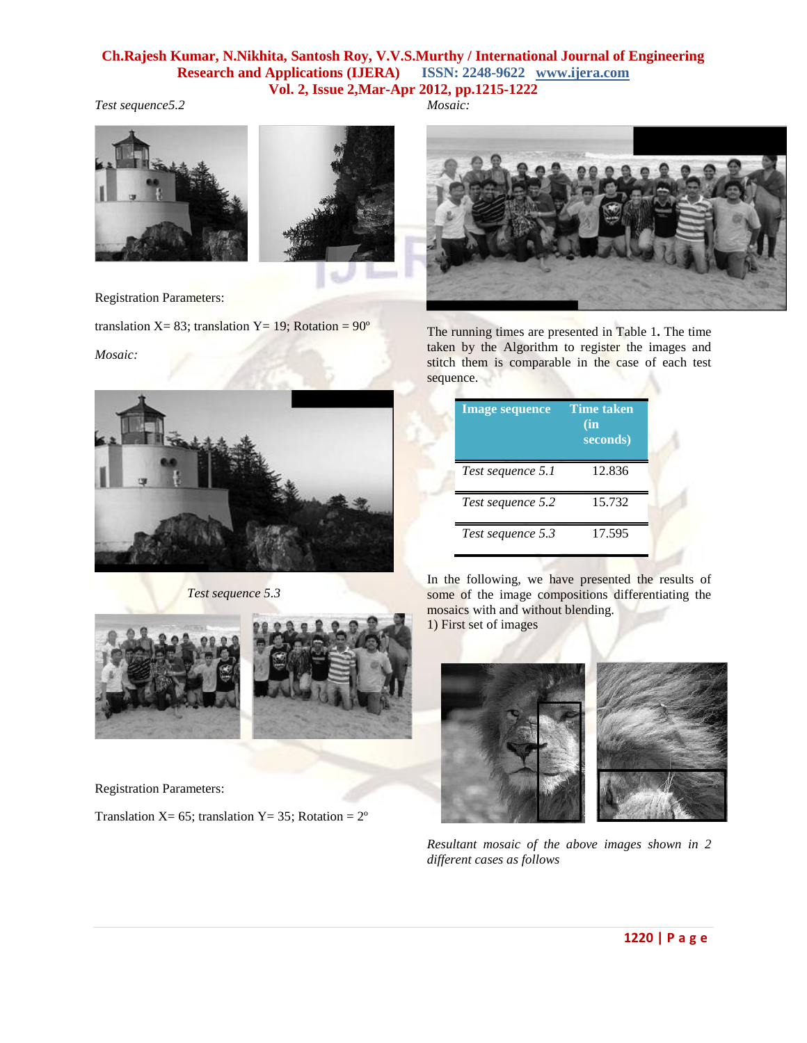# *Test sequence5.2*





Registration Parameters:

translation X= 83; translation Y= 19; Rotation =  $90^\circ$ 

*Mosaic:*



 *Test sequence 5.3*



Registration Parameters:

Translation X= 65; translation Y= 35; Rotation =  $2^{\circ}$ 

*Mosaic:*



The running times are presented in Table 1**.** The time taken by the Algorithm to register the images and stitch them is comparable in the case of each test sequence.

| <b>Image sequence</b> | <b>Time taken</b><br>(in<br>seconds) |
|-----------------------|--------------------------------------|
| Test sequence 5.1     | 12.836                               |
| Test sequence 5.2     | 15.732                               |
| Test sequence 5.3     | 17.595                               |

In the following, we have presented the results of some of the image compositions differentiating the mosaics with and without blending. 1) First set of images



*Resultant mosaic of the above images shown in 2 different cases as follows*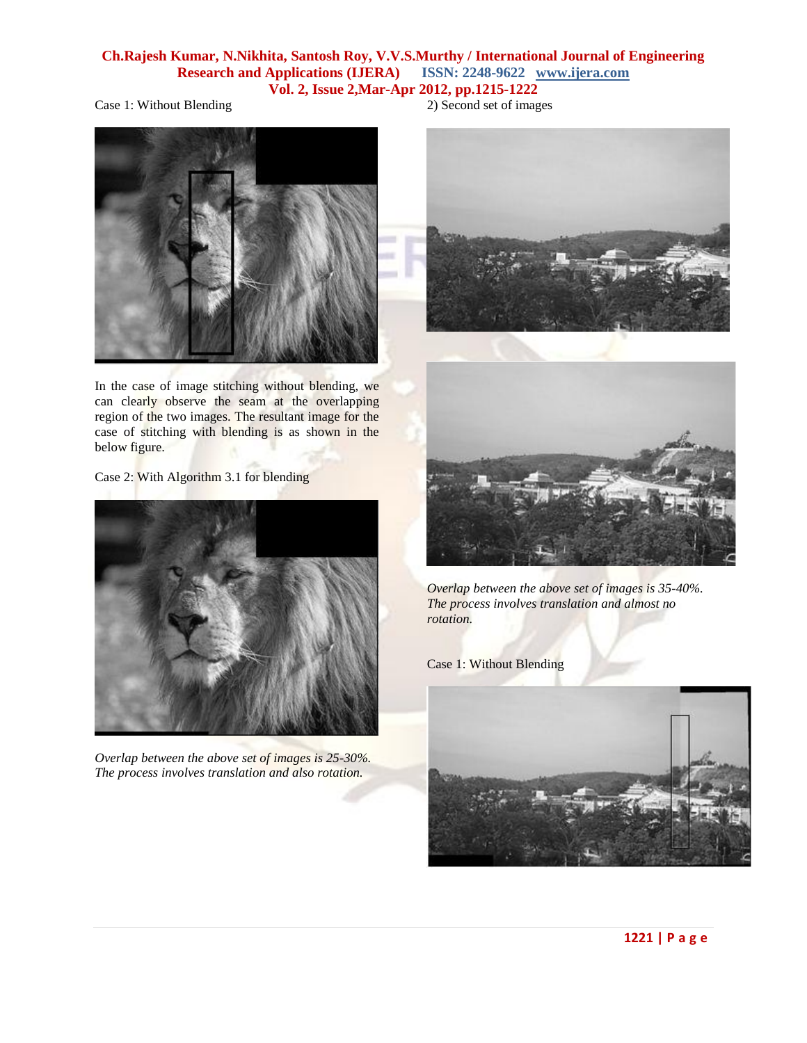Case 1: Without Blending



In the case of image stitching without blending, we can clearly observe the seam at the overlapping region of the two images. The resultant image for the case of stitching with blending is as shown in the below figure.

Case 2: With Algorithm 3.1 for blending



*Overlap between the above set of images is 25-30%. The process involves translation and also rotation.*

2) Second set of images





*Overlap between the above set of images is 35-40%. The process involves translation and almost no rotation.*

Case 1: Without Blending